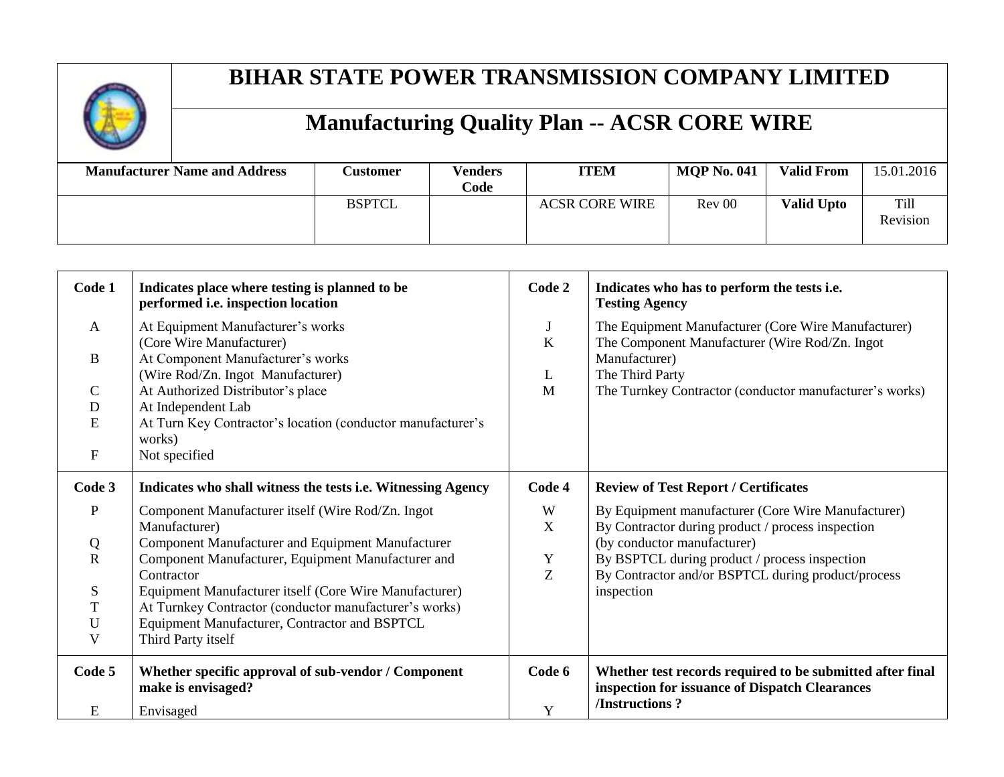

| <b>Manufacturer Name and Address</b> | <b>Customer</b> | <b>Venders</b><br>Code | <b>ITEM</b>           | <b>MOP No. 041</b> | <b>Valid From</b> | 15.01.2016              |
|--------------------------------------|-----------------|------------------------|-----------------------|--------------------|-------------------|-------------------------|
|                                      | <b>BSPTCL</b>   |                        | <b>ACSR CORE WIRE</b> | Rev 00             | <b>Valid Upto</b> | <b>Till</b><br>Revision |

| Code 1       | Indicates place where testing is planned to be<br>performed i.e. inspection location | Code 2       | Indicates who has to perform the tests i.e.<br><b>Testing Agency</b>                                        |
|--------------|--------------------------------------------------------------------------------------|--------------|-------------------------------------------------------------------------------------------------------------|
| $\mathbf{A}$ | At Equipment Manufacturer's works                                                    | $\mathbf{J}$ | The Equipment Manufacturer (Core Wire Manufacturer)                                                         |
|              | (Core Wire Manufacturer)                                                             | $\bf K$      | The Component Manufacturer (Wire Rod/Zn. Ingot                                                              |
| $\mathbf{B}$ | At Component Manufacturer's works                                                    |              | Manufacturer)                                                                                               |
|              | (Wire Rod/Zn. Ingot Manufacturer)                                                    | $\mathbf{L}$ | The Third Party                                                                                             |
| $\mathsf{C}$ | At Authorized Distributor's place                                                    | M            | The Turnkey Contractor (conductor manufacturer's works)                                                     |
| D            | At Independent Lab                                                                   |              |                                                                                                             |
| E            | At Turn Key Contractor's location (conductor manufacturer's                          |              |                                                                                                             |
|              | works)                                                                               |              |                                                                                                             |
| $\mathbf F$  | Not specified                                                                        |              |                                                                                                             |
| Code 3       | Indicates who shall witness the tests i.e. Witnessing Agency                         | Code 4       | <b>Review of Test Report / Certificates</b>                                                                 |
| $\mathbf P$  | Component Manufacturer itself (Wire Rod/Zn. Ingot                                    | W            | By Equipment manufacturer (Core Wire Manufacturer)                                                          |
|              | Manufacturer)                                                                        | $\mathbf X$  | By Contractor during product / process inspection                                                           |
| Q            | Component Manufacturer and Equipment Manufacturer                                    |              | (by conductor manufacturer)                                                                                 |
| $\mathbf R$  | Component Manufacturer, Equipment Manufacturer and                                   | Y            | By BSPTCL during product / process inspection                                                               |
|              | Contractor                                                                           | Z            | By Contractor and/or BSPTCL during product/process                                                          |
| ${\bf S}$    | Equipment Manufacturer itself (Core Wire Manufacturer)                               |              | inspection                                                                                                  |
| $\mathbf T$  | At Turnkey Contractor (conductor manufacturer's works)                               |              |                                                                                                             |
| U            | Equipment Manufacturer, Contractor and BSPTCL                                        |              |                                                                                                             |
| V            | Third Party itself                                                                   |              |                                                                                                             |
| Code 5       | Whether specific approval of sub-vendor / Component<br>make is envisaged?            | Code 6       | Whether test records required to be submitted after final<br>inspection for issuance of Dispatch Clearances |
| E            | Envisaged                                                                            | Y            | /Instructions?                                                                                              |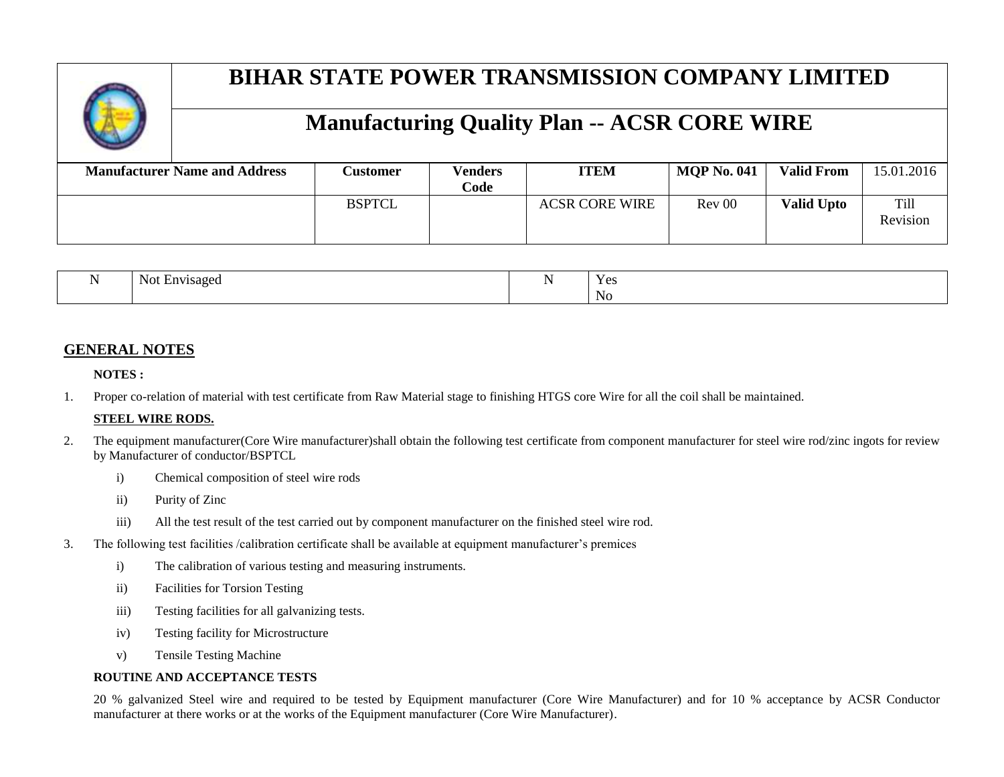#### **Manufacturing Quality Plan -- ACSR CORE WIRE**

| <b>Manufacturer Name and Address</b> | <b>Customer</b> | <b>Venders</b><br>Code | <b>ITEM</b>           | <b>MOP No. 041</b> | <b>Valid From</b> | 15.01.2016              |
|--------------------------------------|-----------------|------------------------|-----------------------|--------------------|-------------------|-------------------------|
|                                      | <b>BSPTCL</b>   |                        | <b>ACSR CORE WIRE</b> | Rev 00             | <b>Valid Upto</b> | <b>Till</b><br>Revision |

| INO.<br>. visagec<br>. | $\overline{\phantom{a}}$ | $V \alpha c$<br><b>TC2</b> |
|------------------------|--------------------------|----------------------------|
|                        |                          | No<br>$ -$                 |

#### **GENERAL NOTES**

#### **NOTES :**

1. Proper co-relation of material with test certificate from Raw Material stage to finishing HTGS core Wire for all the coil shall be maintained.

#### **STEEL WIRE RODS.**

- 2. The equipment manufacturer(Core Wire manufacturer)shall obtain the following test certificate from component manufacturer for steel wire rod/zinc ingots for review by Manufacturer of conductor/BSPTCL
	- i) Chemical composition of steel wire rods
	- ii) Purity of Zinc
	- iii) All the test result of the test carried out by component manufacturer on the finished steel wire rod.
- 3. The following test facilities /calibration certificate shall be available at equipment manufacturer's premices
	- i) The calibration of various testing and measuring instruments.
	- ii) Facilities for Torsion Testing
	- iii) Testing facilities for all galvanizing tests.
	- iv) Testing facility for Microstructure
	- v) Tensile Testing Machine

#### **ROUTINE AND ACCEPTANCE TESTS**

20 % galvanized Steel wire and required to be tested by Equipment manufacturer (Core Wire Manufacturer) and for 10 % acceptance by ACSR Conductor manufacturer at there works or at the works of the Equipment manufacturer (Core Wire Manufacturer).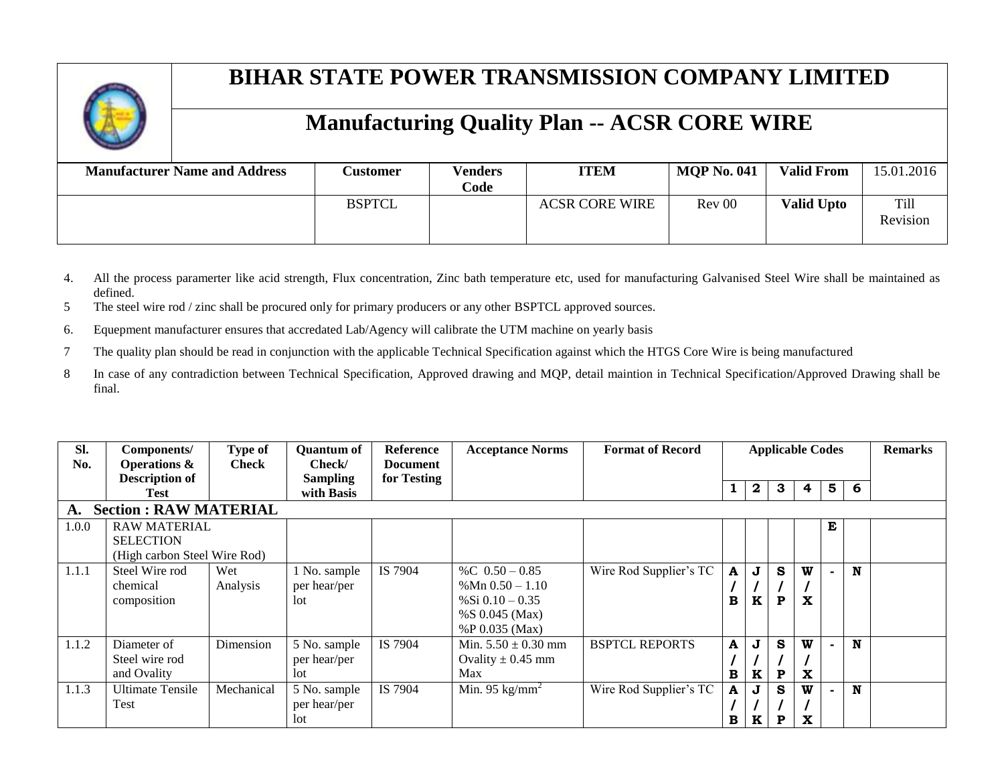

| <b>Manufacturer Name and Address</b> | Customer      | <b>Venders</b><br>Code | <b>ITEM</b>           | <b>MOP No. 041</b> | <b>Valid From</b> | 15.01.2016              |
|--------------------------------------|---------------|------------------------|-----------------------|--------------------|-------------------|-------------------------|
|                                      | <b>BSPTCL</b> |                        | <b>ACSR CORE WIRE</b> | Rev 00             | <b>Valid Upto</b> | <b>Till</b><br>Revision |

- 4. All the process paramerter like acid strength, Flux concentration, Zinc bath temperature etc, used for manufacturing Galvanised Steel Wire shall be maintained as defined.
- 5 The steel wire rod / zinc shall be procured only for primary producers or any other BSPTCL approved sources.
- 6. Equepment manufacturer ensures that accredated Lab/Agency will calibrate the UTM machine on yearly basis
- 7 The quality plan should be read in conjunction with the applicable Technical Specification against which the HTGS Core Wire is being manufactured
- 8 In case of any contradiction between Technical Specification, Approved drawing and MQP, detail maintion in Technical Specification/Approved Drawing shall be final.

| Sl.<br>No.                          | Components/<br><b>Operations &amp;</b> | Type of<br><b>Check</b> | <b>Quantum of</b><br>Check/ | Reference<br><b>Document</b> | <b>Acceptance Norms</b>  | <b>Format of Record</b> |   | <b>Applicable Codes</b> |   |              |   |   | <b>Remarks</b> |
|-------------------------------------|----------------------------------------|-------------------------|-----------------------------|------------------------------|--------------------------|-------------------------|---|-------------------------|---|--------------|---|---|----------------|
|                                     | <b>Description of</b>                  |                         | <b>Sampling</b>             | for Testing                  |                          |                         |   | 2                       | 3 | 4            | 5 | 6 |                |
|                                     | Test                                   |                         | with Basis                  |                              |                          |                         |   |                         |   |              |   |   |                |
| <b>Section : RAW MATERIAL</b><br>A. |                                        |                         |                             |                              |                          |                         |   |                         |   |              |   |   |                |
| 1.0.0                               | <b>RAW MATERIAL</b>                    |                         |                             |                              |                          |                         |   |                         |   |              | E |   |                |
|                                     | <b>SELECTION</b>                       |                         |                             |                              |                          |                         |   |                         |   |              |   |   |                |
|                                     | (High carbon Steel Wire Rod)           |                         |                             |                              |                          |                         |   |                         |   |              |   |   |                |
| 1.1.1                               | Steel Wire rod                         | Wet                     | 1 No. sample                | IS 7904                      | %C $0.50 - 0.85$         | Wire Rod Supplier's TC  | A | J                       | S | W            |   | N |                |
|                                     | chemical                               | Analysis                | per hear/per                |                              | % Mn $0.50 - 1.10$       |                         |   |                         |   |              |   |   |                |
|                                     | composition                            |                         | lot                         |                              | % Si $0.10 - 0.35$       |                         | в | K                       | P | $\mathbf{x}$ |   |   |                |
|                                     |                                        |                         |                             |                              | %S $0.045$ (Max)         |                         |   |                         |   |              |   |   |                |
|                                     |                                        |                         |                             |                              | %P 0.035 (Max)           |                         |   |                         |   |              |   |   |                |
| 1.1.2                               | Diameter of                            | Dimension               | 5 No. sample                | IS 7904                      | Min. $5.50 \pm 0.30$ mm  | <b>BSPTCL REPORTS</b>   | A | J                       | S | W            |   | N |                |
|                                     | Steel wire rod                         |                         | per hear/per                |                              | Ovality $\pm$ 0.45 mm    |                         |   |                         |   |              |   |   |                |
|                                     | and Ovality                            |                         | lot                         |                              | Max                      |                         | в | K                       | P | $\mathbf{x}$ |   |   |                |
| 1.1.3                               | <b>Ultimate Tensile</b>                | Mechanical              | 5 No. sample                | IS 7904                      | Min. 95 $\text{kg/mm}^2$ | Wire Rod Supplier's TC  | A | J                       | S | W            |   | N |                |
|                                     | Test                                   |                         | per hear/per                |                              |                          |                         |   |                         |   |              |   |   |                |
|                                     |                                        |                         | lot                         |                              |                          |                         | В | K                       | P | X            |   |   |                |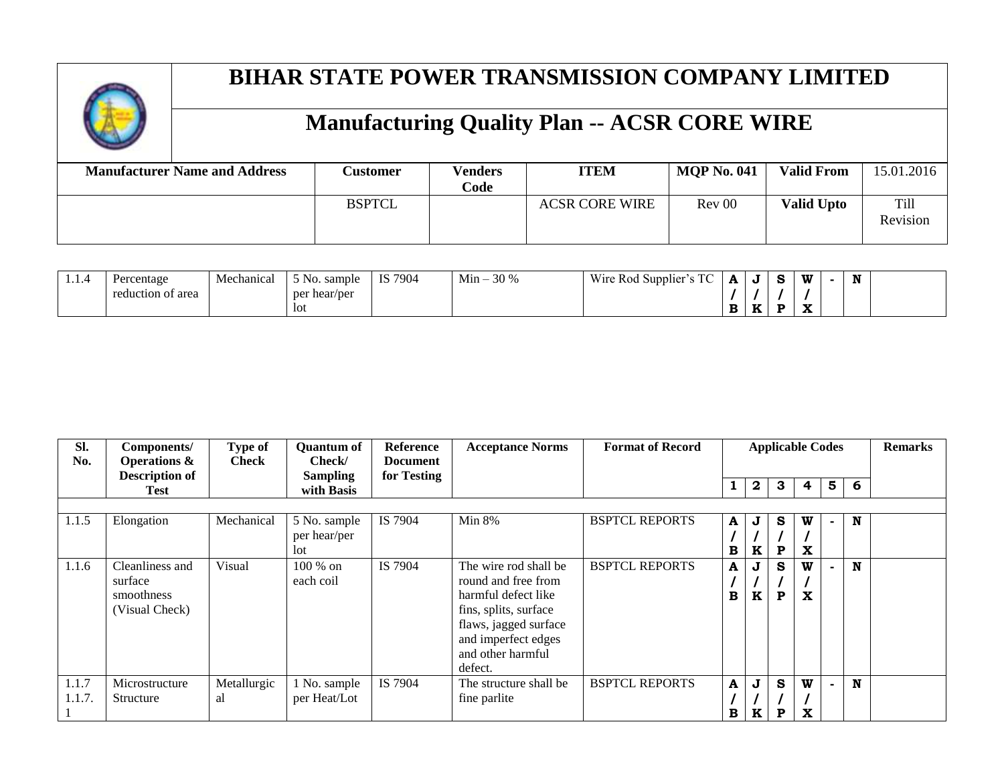

| <b>Manufacturer Name and Address</b> | <b>Customer</b> | <b>Venders</b><br>Code | <b>ITEM</b>           | <b>MOP No. 041</b> | <b>Valid From</b> | 15.01.2016              |
|--------------------------------------|-----------------|------------------------|-----------------------|--------------------|-------------------|-------------------------|
|                                      | <b>BSPTCL</b>   |                        | <b>ACSR CORE WIRE</b> | Rev 00             | <b>Valid Upto</b> | <b>Till</b><br>Revision |

| . - | Percentage        | Mechanical | $  -$<br>sample<br>$5 NQ$ . | IS 7904 | $Min -$<br>30 % | T <sub>0</sub><br>Wire Rod Supplier<br>1 U<br>$\cdot$ | А           | $\sim$<br>s | w  | $-$<br>N |  |
|-----|-------------------|------------|-----------------------------|---------|-----------------|-------------------------------------------------------|-------------|-------------|----|----------|--|
|     | reduction of area |            | per<br>hear/per             |         |                 |                                                       |             |             |    |          |  |
|     |                   |            | <b>lot</b>                  |         |                 |                                                       | $\mathbf B$ |             | А. |          |  |

| SI.<br>No.     | Components/<br><b>Operations &amp;</b><br><b>Description of</b> | Type of<br><b>Check</b> | <b>Quantum of</b><br>Check/<br><b>Sampling</b> | Reference<br><b>Document</b><br>for Testing | <b>Acceptance Norms</b>                                                                                                                                                      | <b>Format of Record</b> | <b>Applicable Codes</b> |        |                  |                  |   | <b>Remarks</b> |  |
|----------------|-----------------------------------------------------------------|-------------------------|------------------------------------------------|---------------------------------------------|------------------------------------------------------------------------------------------------------------------------------------------------------------------------------|-------------------------|-------------------------|--------|------------------|------------------|---|----------------|--|
|                | Test                                                            |                         | with Basis                                     |                                             |                                                                                                                                                                              |                         |                         | 2      | 3                | 4                | 5 | 6              |  |
|                |                                                                 |                         |                                                |                                             |                                                                                                                                                                              |                         |                         |        |                  |                  |   |                |  |
| 1.1.5          | Elongation                                                      | Mechanical              | 5 No. sample<br>per hear/per<br>lot            | IS 7904                                     | <b>Min 8%</b>                                                                                                                                                                | <b>BSPTCL REPORTS</b>   | A<br>в                  | J<br>K | S<br>P           | W<br>X           |   | N              |  |
| 1.1.6          | Cleanliness and<br>surface<br>smoothness<br>(Visual Check)      | Visual                  | 100 % on<br>each coil                          | IS 7904                                     | The wire rod shall be<br>round and free from<br>harmful defect like<br>fins, splits, surface<br>flaws, jagged surface<br>and imperfect edges<br>and other harmful<br>defect. | <b>BSPTCL REPORTS</b>   | A<br>в                  | J<br>K | S<br>$\mathbf P$ | W<br>$\mathbf x$ |   | N              |  |
| 1.1.7<br>1.1.7 | Microstructure<br>Structure                                     | Metallurgic<br>al       | 1 No. sample<br>per Heat/Lot                   | IS 7904                                     | The structure shall be<br>fine parlite                                                                                                                                       | <b>BSPTCL REPORTS</b>   | A<br>в                  | J<br>K | S<br>P           | W<br>X           |   | N              |  |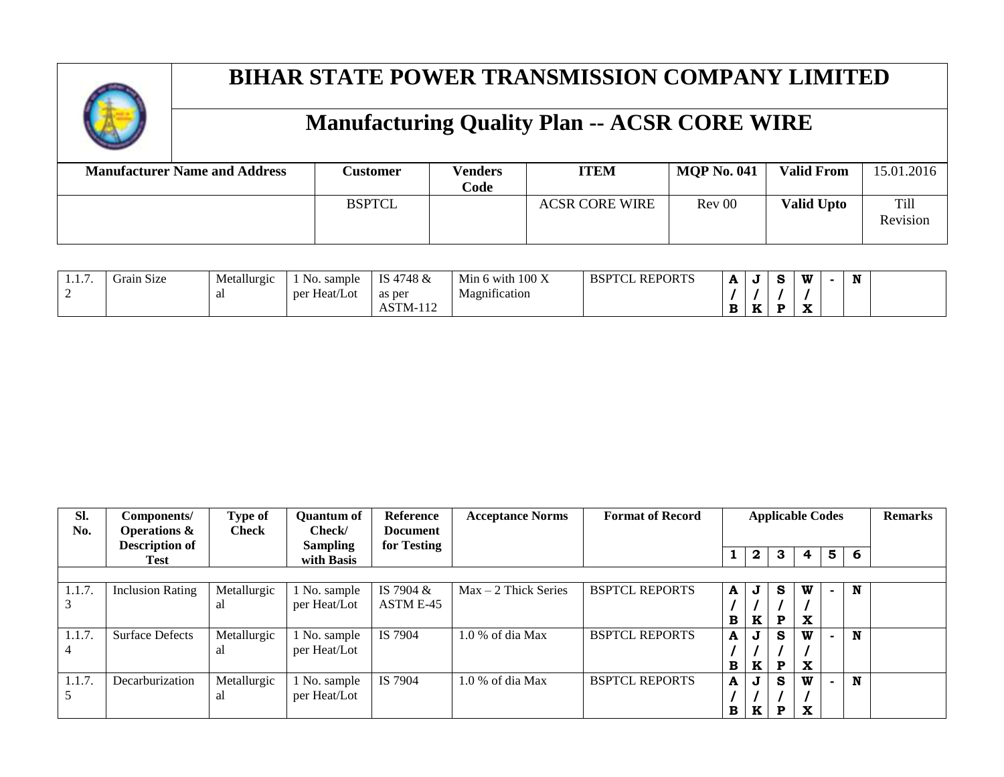

| <b>Manufacturer Name and Address</b> | <b>Customer</b> | <b>Venders</b><br>Code | <b>ITEM</b>           | <b>MOP No. 041</b> | <b>Valid From</b> | 15.01.2016              |
|--------------------------------------|-----------------|------------------------|-----------------------|--------------------|-------------------|-------------------------|
|                                      | <b>BSPTCL</b>   |                        | <b>ACSR CORE WIRE</b> | Rev 00             | <b>Valid Upto</b> | <b>Till</b><br>Revision |

| $\sim$<br>1.1. <i>1</i> . | $\sim$<br>$\sim$<br>Grain Size | Metallurgic | No.<br>sample   | 4748 &<br>TC<br>∼ ⊿                  | $100\,\mathrm{X}$<br>Min<br>› with | <b>REPORTS</b><br><b>BSPTCL</b> | A | u          | $\sim$ | w  | $-1$<br>N |  |
|---------------------------|--------------------------------|-------------|-----------------|--------------------------------------|------------------------------------|---------------------------------|---|------------|--------|----|-----------|--|
|                           |                                | aı          | Heat/Lot<br>per | as per                               | $\cdot$ $\sim$<br>Magnification    |                                 |   |            |        |    |           |  |
|                           |                                |             |                 | $\overline{10}$<br>CTN<br>AS I M-112 |                                    |                                 |   | TZ.<br>-53 | Ð      | -- |           |  |

| SI.<br>No. | Components/<br><b>Operations &amp;</b><br><b>Description of</b> | Type of<br><b>Check</b> | <b>Quantum of</b><br>Check/<br><b>Sampling</b> | <b>Reference</b><br><b>Document</b><br>for Testing | <b>Acceptance Norms</b> | <b>Format of Record</b> | <b>Applicable Codes</b> |              |    | <b>Remarks</b> |   |   |  |
|------------|-----------------------------------------------------------------|-------------------------|------------------------------------------------|----------------------------------------------------|-------------------------|-------------------------|-------------------------|--------------|----|----------------|---|---|--|
|            | Test                                                            |                         | with Basis                                     |                                                    |                         |                         |                         | $\mathbf{2}$ | 3  | 4              | 5 | 6 |  |
|            |                                                                 |                         |                                                |                                                    |                         |                         |                         |              |    |                |   |   |  |
| 1.1.7.     | <b>Inclusion Rating</b>                                         | Metallurgic             | 1 No. sample                                   | IS 7904 &                                          | $Max - 2$ Thick Series  | <b>BSPTCL REPORTS</b>   | A I                     | J            | S. | W              |   | N |  |
|            |                                                                 | al                      | per Heat/Lot                                   | ASTM E-45                                          |                         |                         |                         |              |    |                |   |   |  |
|            |                                                                 |                         |                                                |                                                    |                         |                         | $\mathbf{B}$            | $\mathbf{K}$ | P  | X              |   |   |  |
| 1.1.7.     | <b>Surface Defects</b>                                          | Metallurgic             | 1 No. sample                                   | IS 7904                                            | $1.0\%$ of dia Max      | <b>BSPTCL REPORTS</b>   | $\mathbf{A}$            | J            | s  | W              |   | N |  |
| 4          |                                                                 | al                      | per Heat/Lot                                   |                                                    |                         |                         |                         |              |    |                |   |   |  |
|            |                                                                 |                         |                                                |                                                    |                         |                         | B                       | K            | P  | X              |   |   |  |
| 1.1.7.     | Decarburization                                                 | Metallurgic             | 1 No. sample                                   | IS 7904                                            | $1.0\%$ of dia Max      | <b>BSPTCL REPORTS</b>   | A <sup>1</sup>          | J            | S. | W              |   | N |  |
|            |                                                                 | al                      | per Heat/Lot                                   |                                                    |                         |                         |                         |              |    |                |   |   |  |
|            |                                                                 |                         |                                                |                                                    |                         |                         | $\mathbf{B}$            | K            | P  | $\mathbf x$    |   |   |  |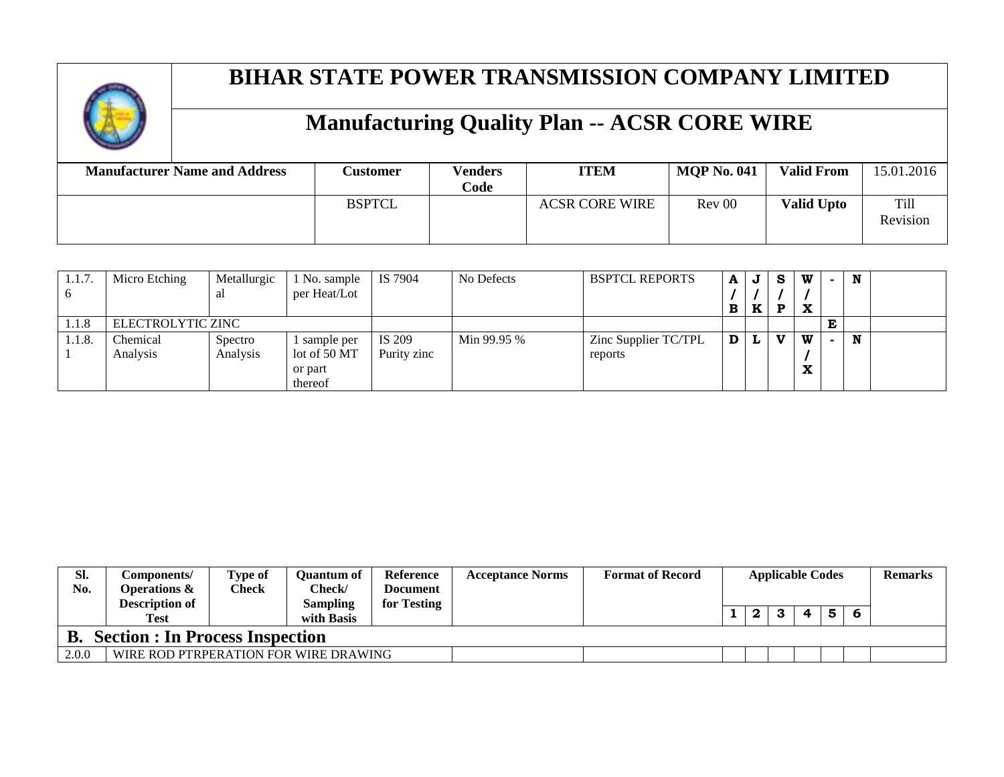

| <b>Manufacturer Name and Address</b> | <b>Customer</b> | <b>Venders</b><br>Code | <b>ITEM</b>           | <b>MQP No. 041</b> | <b>Valid From</b> | 15.01.2016              |
|--------------------------------------|-----------------|------------------------|-----------------------|--------------------|-------------------|-------------------------|
|                                      | <b>BSPTCL</b>   |                        | <b>ACSR CORE WIRE</b> | Rev 00             | <b>Valid Upto</b> | <b>Till</b><br>Revision |

| 1.1.7. | Micro Etching     | Metallurgic | No. sample   | IS 7904     | No Defects  | <b>BSPTCL REPORTS</b> | A | J | - S | W | N |  |
|--------|-------------------|-------------|--------------|-------------|-------------|-----------------------|---|---|-----|---|---|--|
|        |                   | al          | per Heat/Lot |             |             |                       |   |   |     |   |   |  |
|        |                   |             |              |             |             |                       | В | K | D   | X |   |  |
| 1.1.8  | ELECTROLYTIC ZINC |             |              |             |             |                       |   |   |     |   |   |  |
| 1.1.8. | Chemical          | Spectro     | sample per   | IS 209      | Min 99.95 % | Zinc Supplier TC/TPL  |   |   | X7  | W | N |  |
|        | Analysis          | Analysis    | lot of 50 MT | Purity zinc |             | reports               |   |   |     |   |   |  |
|        |                   |             | or part      |             |             |                       |   |   |     |   |   |  |
|        |                   |             | thereof      |             |             |                       |   |   |     |   |   |  |

| SI.   | Components/                            | <b>Type of</b> | Ouantum of | <b>Reference</b> | <b>Acceptance Norms</b> | <b>Format of Record</b> | <b>Applicable Codes</b> |          |  |   | Remarks |  |
|-------|----------------------------------------|----------------|------------|------------------|-------------------------|-------------------------|-------------------------|----------|--|---|---------|--|
| No.   | Operations &                           | Check          | Check/     | Document         |                         |                         |                         |          |  |   |         |  |
|       | <b>Description of</b>                  |                | Sampling   | for Testing      |                         |                         |                         |          |  |   |         |  |
|       |                                        |                |            |                  |                         |                         |                         | <u>n</u> |  | 4 | 5.      |  |
|       | Test                                   |                | with Basis |                  |                         |                         |                         |          |  |   |         |  |
| В.    | <b>Section : In Process Inspection</b> |                |            |                  |                         |                         |                         |          |  |   |         |  |
| 2.0.0 | WIRE ROD PTRPERATION FOR WIRE DRAWING  |                |            |                  |                         |                         |                         |          |  |   |         |  |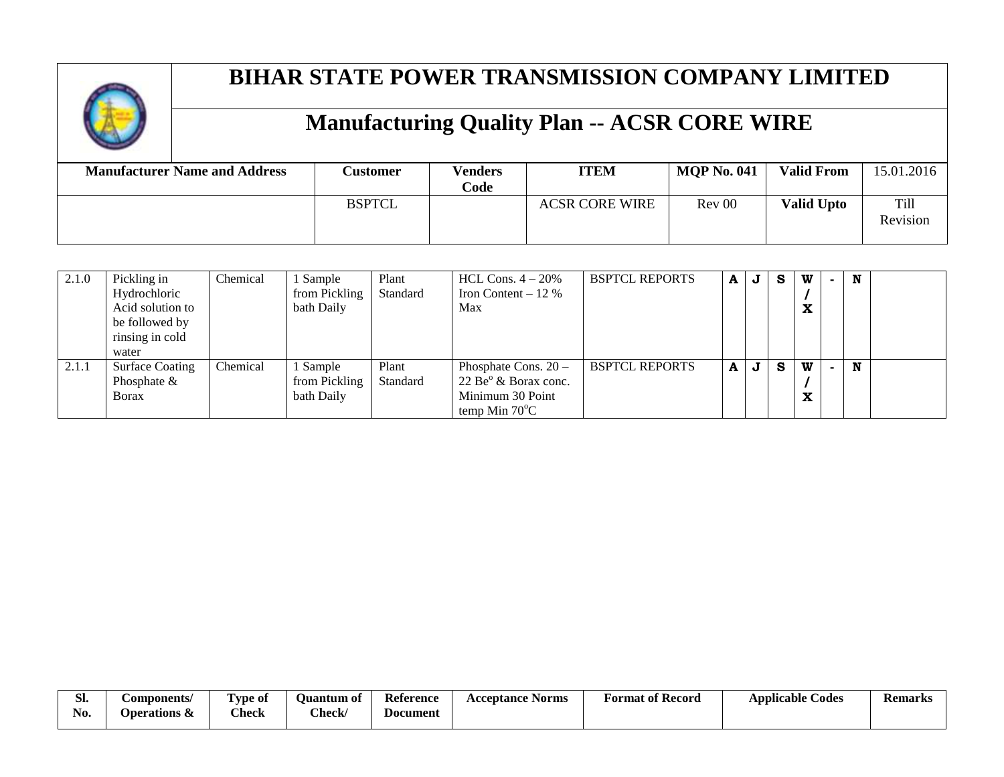

| <b>Manufacturer Name and Address</b> | <b>Customer</b> | <b>Venders</b><br>Code | <b>ITEM</b>           | <b>MOP No. 041</b> | <b>Valid From</b> | 15.01.2016              |
|--------------------------------------|-----------------|------------------------|-----------------------|--------------------|-------------------|-------------------------|
|                                      | <b>BSPTCL</b>   |                        | <b>ACSR CORE WIRE</b> | Rev 00             | <b>Valid Upto</b> | <b>Till</b><br>Revision |

| 2.1.0 | Pickling in            | Chemical | Sample        | Plant    | HCL Cons. $4-20%$       | <b>BSPTCL REPORTS</b> | A | J | -S | W | N |  |
|-------|------------------------|----------|---------------|----------|-------------------------|-----------------------|---|---|----|---|---|--|
|       | Hydrochloric           |          | from Pickling | Standard | Iron Content $-12\%$    |                       |   |   |    |   |   |  |
|       | Acid solution to       |          | bath Daily    |          | Max                     |                       |   |   |    |   |   |  |
|       | be followed by         |          |               |          |                         |                       |   |   |    |   |   |  |
|       | rinsing in cold        |          |               |          |                         |                       |   |   |    |   |   |  |
|       | water                  |          |               |          |                         |                       |   |   |    |   |   |  |
| 2.1.1 | <b>Surface Coating</b> | Chemical | Sample        | Plant    | Phosphate Cons. 20 -    | <b>BSPTCL REPORTS</b> | A | J | -S | W | N |  |
|       | Phosphate $&$          |          | from Pickling | Standard | $22 Beo$ & Borax conc.  |                       |   |   |    |   |   |  |
|       | <b>Borax</b>           |          | bath Daily    |          | Minimum 30 Point        |                       |   |   |    | v |   |  |
|       |                        |          |               |          | temp Min $70^{\circ}$ C |                       |   |   |    |   |   |  |

| n.<br><u>ы.</u> | <i>C</i> omponents/     | m<br><b>Vpe of</b> | <b>Ouantum of</b> | Reference | <b>Acceptance Norms</b> | <b>Format of Record</b> | <b>Applicable Codes</b> | <b>Remarks</b> |
|-----------------|-------------------------|--------------------|-------------------|-----------|-------------------------|-------------------------|-------------------------|----------------|
| No.             | <b>Operations &amp;</b> | Check              | $\mathbf{Check}$  | Document  |                         |                         |                         |                |
|                 |                         |                    |                   |           |                         |                         |                         |                |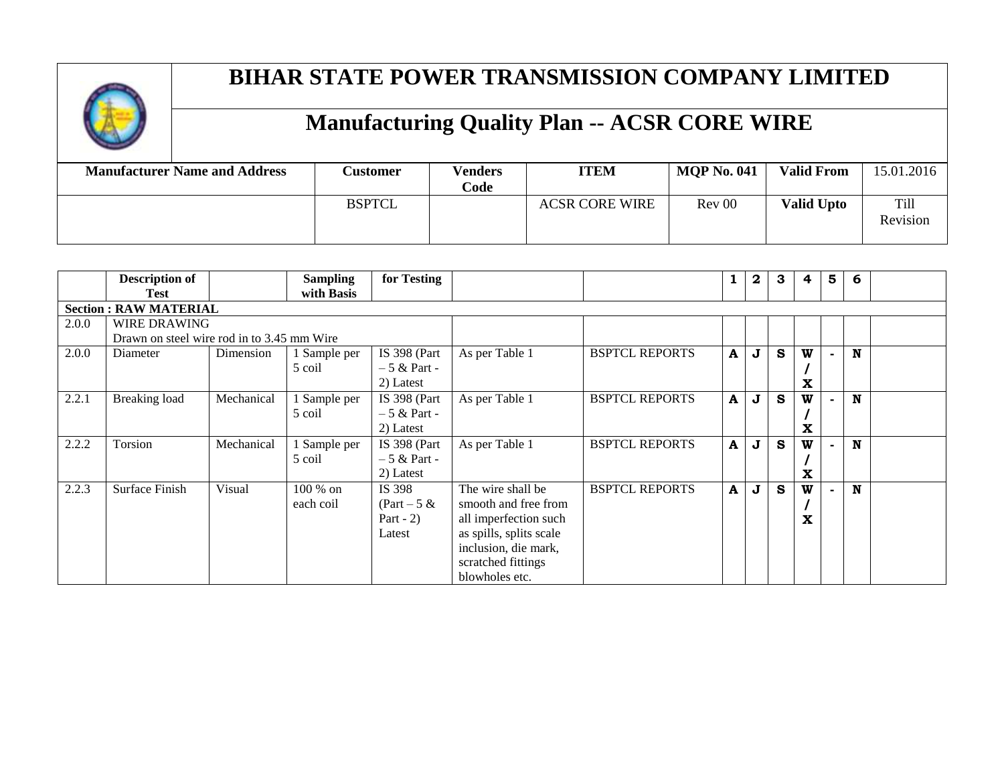

| <b>Manufacturer Name and Address</b> | <b>Customer</b> | <b>Venders</b><br>Code | <b>ITEM</b>           | <b>MOP No. 041</b> | <b>Valid From</b> | 15.01.2016       |
|--------------------------------------|-----------------|------------------------|-----------------------|--------------------|-------------------|------------------|
|                                      | <b>BSPTCL</b>   |                        | <b>ACSR CORE WIRE</b> | Rev 00             | <b>Valid Upto</b> | Till<br>Revision |

|       | <b>Description of</b>                      |            | <b>Sampling</b> | for Testing         |                         |                       |              | 2 | 3 | 4           | $5\phantom{1}$ | 6 |  |
|-------|--------------------------------------------|------------|-----------------|---------------------|-------------------------|-----------------------|--------------|---|---|-------------|----------------|---|--|
|       | <b>Test</b>                                |            | with Basis      |                     |                         |                       |              |   |   |             |                |   |  |
|       | <b>Section: RAW MATERIAL</b>               |            |                 |                     |                         |                       |              |   |   |             |                |   |  |
| 2.0.0 | <b>WIRE DRAWING</b>                        |            |                 |                     |                         |                       |              |   |   |             |                |   |  |
|       | Drawn on steel wire rod in to 3.45 mm Wire |            |                 |                     |                         |                       |              |   |   |             |                |   |  |
| 2.0.0 | Diameter                                   | Dimension  | 1 Sample per    | <b>IS 398 (Part</b> | As per Table 1          | <b>BSPTCL REPORTS</b> | A            | J | S | W           |                | N |  |
|       |                                            |            | 5 coil          | $-5 &$ Part -       |                         |                       |              |   |   |             |                |   |  |
|       |                                            |            |                 | 2) Latest           |                         |                       |              |   |   | X           |                |   |  |
| 2.2.1 | Breaking load                              | Mechanical | I Sample per    | <b>IS 398 (Part</b> | As per Table 1          | <b>BSPTCL REPORTS</b> | A            | J | S | W           |                | N |  |
|       |                                            |            | 5 coil          | $-5 &$ Part -       |                         |                       |              |   |   |             |                |   |  |
|       |                                            |            |                 | 2) Latest           |                         |                       |              |   |   | X           |                |   |  |
| 2.2.2 | Torsion                                    | Mechanical | 1 Sample per    | <b>IS 398 (Part</b> | As per Table 1          | <b>BSPTCL REPORTS</b> | $\mathbf{A}$ | J | S | W           |                | N |  |
|       |                                            |            | 5 coil          | $-5 &$ Part -       |                         |                       |              |   |   |             |                |   |  |
|       |                                            |            |                 | 2) Latest           |                         |                       |              |   |   | $\mathbf X$ |                |   |  |
| 2.2.3 | Surface Finish                             | Visual     | 100 % on        | IS 398              | The wire shall be       | <b>BSPTCL REPORTS</b> | $\mathbf A$  | J | S | W           |                | N |  |
|       |                                            |            | each coil       | $(Part - 5 \&$      | smooth and free from    |                       |              |   |   |             |                |   |  |
|       |                                            |            |                 | Part - $2)$         | all imperfection such   |                       |              |   |   | X           |                |   |  |
|       |                                            |            |                 | Latest              | as spills, splits scale |                       |              |   |   |             |                |   |  |
|       |                                            |            |                 |                     | inclusion, die mark,    |                       |              |   |   |             |                |   |  |
|       |                                            |            |                 |                     | scratched fittings      |                       |              |   |   |             |                |   |  |
|       |                                            |            |                 |                     | blowholes etc.          |                       |              |   |   |             |                |   |  |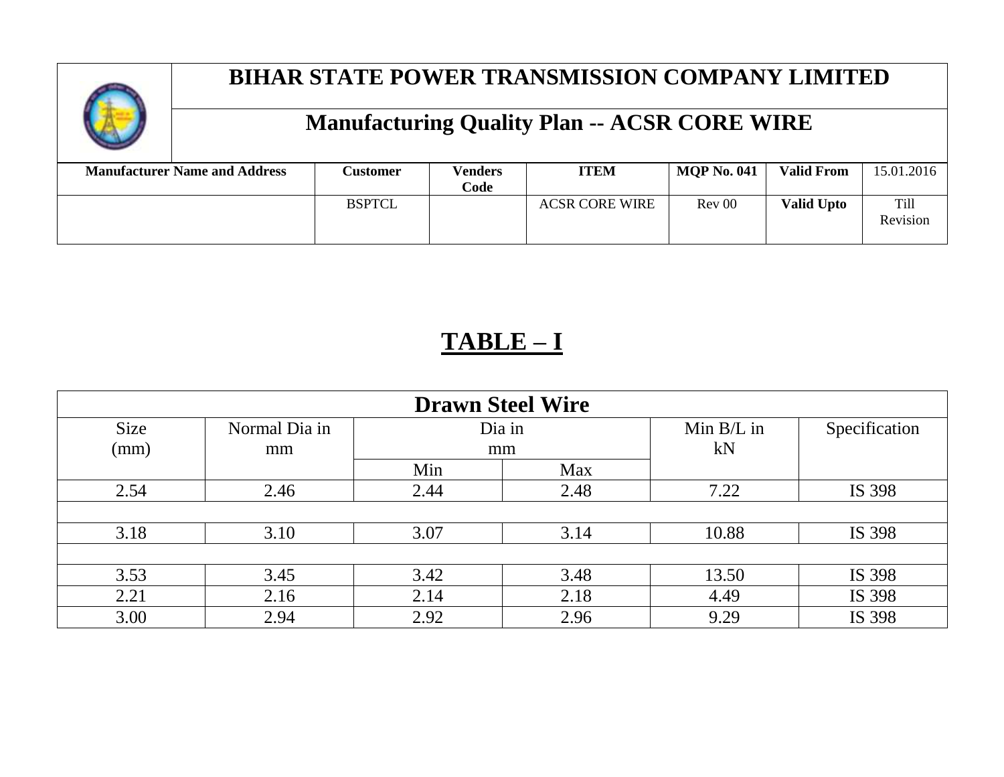

# **Manufacturing Quality Plan -- ACSR CORE WIRE**

| <b>Manufacturer Name and Address</b> | <b>Customer</b> | Venders<br>Code | <b>ITEM</b>           | <b>MOP No. 041</b> | <b>Valid From</b> | 15.01.2016       |
|--------------------------------------|-----------------|-----------------|-----------------------|--------------------|-------------------|------------------|
|                                      | <b>BSPTCL</b>   |                 | <b>ACSR CORE WIRE</b> | Rev 00             | <b>Valid Upto</b> | Till<br>Revision |

# **TABLE – I**

|      |               |      | <b>Drawn Steel Wire</b> |              |               |
|------|---------------|------|-------------------------|--------------|---------------|
| Size | Normal Dia in |      | Dia in                  | Min $B/L$ in | Specification |
| (mm) | mm            |      | mm                      | kN           |               |
|      |               | Min  | Max                     |              |               |
| 2.54 | 2.46          | 2.44 | 2.48                    | 7.22         | IS 398        |
|      |               |      |                         |              |               |
| 3.18 | 3.10          | 3.07 | 3.14                    | 10.88        | IS 398        |
|      |               |      |                         |              |               |
| 3.53 | 3.45          | 3.42 | 3.48                    | 13.50        | IS 398        |
| 2.21 | 2.16          | 2.14 | 2.18                    | 4.49         | IS 398        |
| 3.00 | 2.94          | 2.92 | 2.96                    | 9.29         | IS 398        |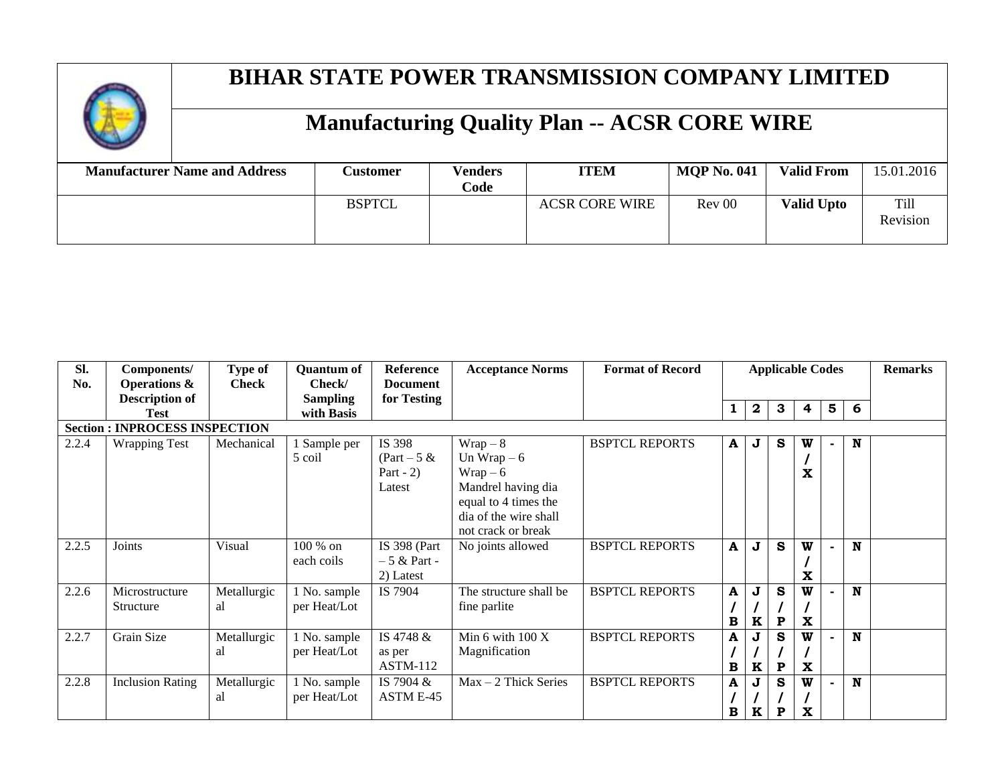

| <b>Manufacturer Name and Address</b> | Customer      | <b>Venders</b><br>Code | <b>ITEM</b>           | <b>MQP No. 041</b> | <b>Valid From</b> | 15.01.2016       |
|--------------------------------------|---------------|------------------------|-----------------------|--------------------|-------------------|------------------|
|                                      | <b>BSPTCL</b> |                        | <b>ACSR CORE WIRE</b> | Rev 00             | <b>Valid Upto</b> | Till<br>Revision |

| SI.<br>No. | Components/<br><b>Operations &amp;</b> | Type of<br><b>Check</b> | <b>Quantum of</b><br>Check/   | <b>Reference</b><br><b>Document</b>               | <b>Acceptance Norms</b>                                                                                                           | <b>Format of Record</b> | <b>Applicable Codes</b> |                  |             | <b>Remarks</b> |   |   |  |
|------------|----------------------------------------|-------------------------|-------------------------------|---------------------------------------------------|-----------------------------------------------------------------------------------------------------------------------------------|-------------------------|-------------------------|------------------|-------------|----------------|---|---|--|
|            | <b>Description of</b><br>Test          |                         | <b>Sampling</b><br>with Basis | for Testing                                       |                                                                                                                                   |                         |                         | $\boldsymbol{2}$ | 3           | 4              | 5 | 6 |  |
|            | <b>Section: INPROCESS INSPECTION</b>   |                         |                               |                                                   |                                                                                                                                   |                         |                         |                  |             |                |   |   |  |
| 2.2.4      | <b>Wrapping Test</b>                   | Mechanical              | 1 Sample per<br>5 coil        | IS 398<br>$(Part - 5 \&$<br>Part $-2$ )<br>Latest | $Wrap-8$<br>Un Wrap $-6$<br>$Wrap-6$<br>Mandrel having dia<br>equal to 4 times the<br>dia of the wire shall<br>not crack or break | <b>BSPTCL REPORTS</b>   | A                       | J                | S           | W<br>x         |   | N |  |
| 2.2.5      | Joints                                 | Visual                  | 100 % on<br>each coils        | IS 398 (Part<br>$-5 &$ Part -<br>2) Latest        | No joints allowed                                                                                                                 | <b>BSPTCL REPORTS</b>   | A                       | J                | S           | W<br>X         |   | N |  |
| 2.2.6      | Microstructure<br>Structure            | Metallurgic<br>al       | 1 No. sample<br>per Heat/Lot  | IS 7904                                           | The structure shall be<br>fine parlite                                                                                            | <b>BSPTCL REPORTS</b>   | A<br>B                  | J<br>K           | s<br>P      | W<br>X         |   | N |  |
| 2.2.7      | Grain Size                             | Metallurgic<br>al       | 1 No. sample<br>per Heat/Lot  | IS 4748 &<br>as per<br><b>ASTM-112</b>            | Min 6 with $100X$<br>Magnification                                                                                                | <b>BSPTCL REPORTS</b>   | A<br>в                  | J<br>K           | s<br>P      | W<br>X         |   | N |  |
| 2.2.8      | <b>Inclusion Rating</b>                | Metallurgic<br>al       | 1 No. sample<br>per Heat/Lot  | IS 7904 $\&$<br>ASTM E-45                         | $Max - 2$ Thick Series                                                                                                            | <b>BSPTCL REPORTS</b>   | A<br>B                  | J<br>K           | $\mathbf P$ | W<br>X         |   | N |  |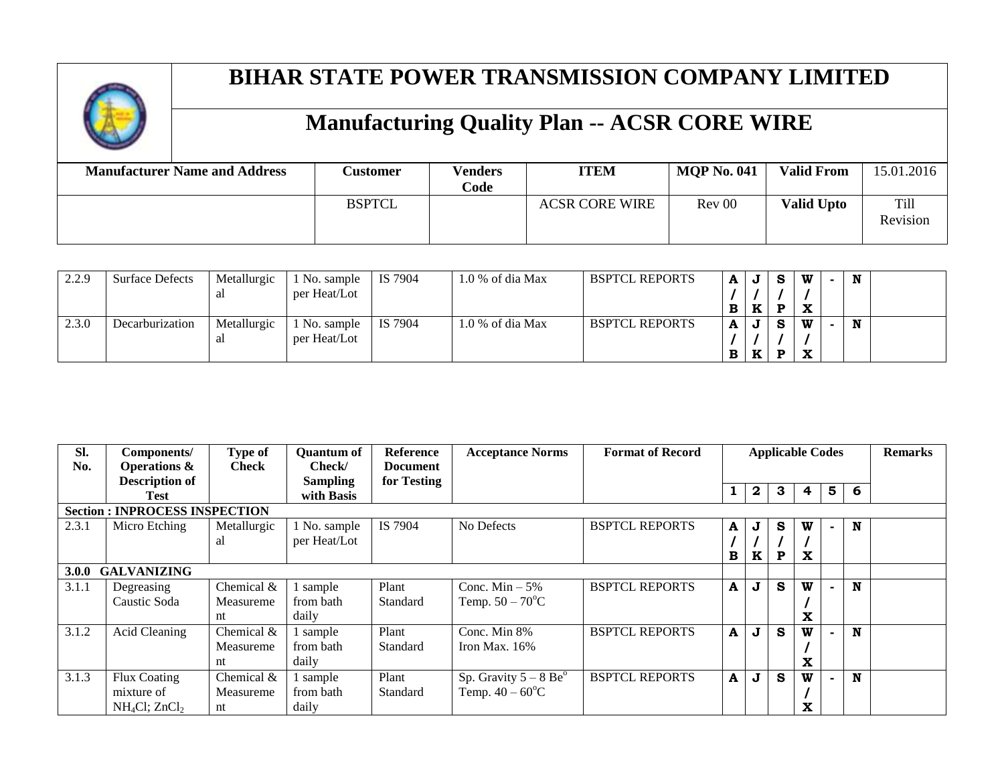

| <b>Manufacturer Name and Address</b> | <b>Customer</b> | <b>Venders</b><br>Code | <b>ITEM</b>           | <b>MOP No. 041</b> | <b>Valid From</b> | 15.01.2016              |
|--------------------------------------|-----------------|------------------------|-----------------------|--------------------|-------------------|-------------------------|
|                                      | <b>BSPTCL</b>   |                        | <b>ACSR CORE WIRE</b> | Rev 00             | <b>Valid Upto</b> | <b>Till</b><br>Revision |

| 2.2.9 | <b>Surface Defects</b> | Metallurgic | No. sample   | IS 7904 | $1.0\%$ of dia Max | <b>BSPTCL REPORTS</b> | A |    | <b>S</b> | w                        | N |  |
|-------|------------------------|-------------|--------------|---------|--------------------|-----------------------|---|----|----------|--------------------------|---|--|
|       |                        | al          | per Heat/Lot |         |                    |                       |   |    |          |                          |   |  |
|       |                        |             |              |         |                    |                       | В | TZ | Ð        | $\overline{\phantom{a}}$ |   |  |
| 2.3.0 | Decarburization        | Metallurgic | No. sample   | IS 7904 | $1.0\%$ of dia Max | <b>BSPTCL REPORTS</b> |   | J  | <b>S</b> | W                        | N |  |
|       |                        | al          | per Heat/Lot |         |                    |                       |   |    |          |                          |   |  |
|       |                        |             |              |         |                    |                       | В | TZ | Ð        |                          |   |  |

| Sl.<br>No. | Components/<br><b>Operations &amp;</b> | Type of<br><b>Check</b> | <b>Quantum of</b><br>Check/ | Reference<br><b>Document</b> | <b>Acceptance Norms</b>             | <b>Format of Record</b> |             |   |   | <b>Applicable Codes</b> |        |   | <b>Remarks</b> |
|------------|----------------------------------------|-------------------------|-----------------------------|------------------------------|-------------------------------------|-------------------------|-------------|---|---|-------------------------|--------|---|----------------|
|            | <b>Description of</b>                  |                         | <b>Sampling</b>             | for Testing                  |                                     |                         |             | 2 | 3 | 4                       | 5      | 6 |                |
|            | <b>Test</b>                            |                         | with Basis                  |                              |                                     |                         |             |   |   |                         |        |   |                |
|            | <b>Section : INPROCESS INSPECTION</b>  |                         |                             |                              |                                     |                         |             |   |   |                         |        |   |                |
| 2.3.1      | Micro Etching                          | Metallurgic             | 1 No. sample                | IS 7904                      | No Defects                          | <b>BSPTCL REPORTS</b>   | A           | J | s | W                       | $\sim$ | N |                |
|            |                                        | al                      | per Heat/Lot                |                              |                                     |                         |             |   |   |                         |        |   |                |
|            |                                        |                         |                             |                              |                                     |                         | в           | K | P | $\mathbf x$             |        |   |                |
| 3.0.0      | <b>GALVANIZING</b>                     |                         |                             |                              |                                     |                         |             |   |   |                         |        |   |                |
| 3.1.1      | Degreasing                             | Chemical &              | sample                      | Plant                        | Conc. Min $-5\%$                    | <b>BSPTCL REPORTS</b>   | A           | J | S | W                       |        | N |                |
|            | Caustic Soda                           | Measureme               | from bath                   | Standard                     | Temp. $50 - 70^{\circ}C$            |                         |             |   |   |                         |        |   |                |
|            |                                        | nt                      | daily                       |                              |                                     |                         |             |   |   | X                       |        |   |                |
| 3.1.2      | <b>Acid Cleaning</b>                   | Chemical $&$            | sample                      | Plant                        | Conc. Min 8%                        | <b>BSPTCL REPORTS</b>   | A           | J | S | W                       |        | N |                |
|            |                                        | Measureme               | from bath                   | Standard                     | Iron Max. $16\%$                    |                         |             |   |   |                         |        |   |                |
|            |                                        | nt                      | daily                       |                              |                                     |                         |             |   |   | X                       |        |   |                |
| 3.1.3      | Flux Coating                           | Chemical &              | sample                      | Plant                        | Sp. Gravity $5 - 8$ Be <sup>o</sup> | <b>BSPTCL REPORTS</b>   | $\mathbf A$ | J | S | W                       |        | N |                |
|            | mixture of                             | Measureme               | from bath                   | Standard                     | Temp. $40 - 60^{\circ}C$            |                         |             |   |   |                         |        |   |                |
|            | $NH_4Cl$ ; $ZnCl_2$                    | nt                      | daily                       |                              |                                     |                         |             |   |   | x                       |        |   |                |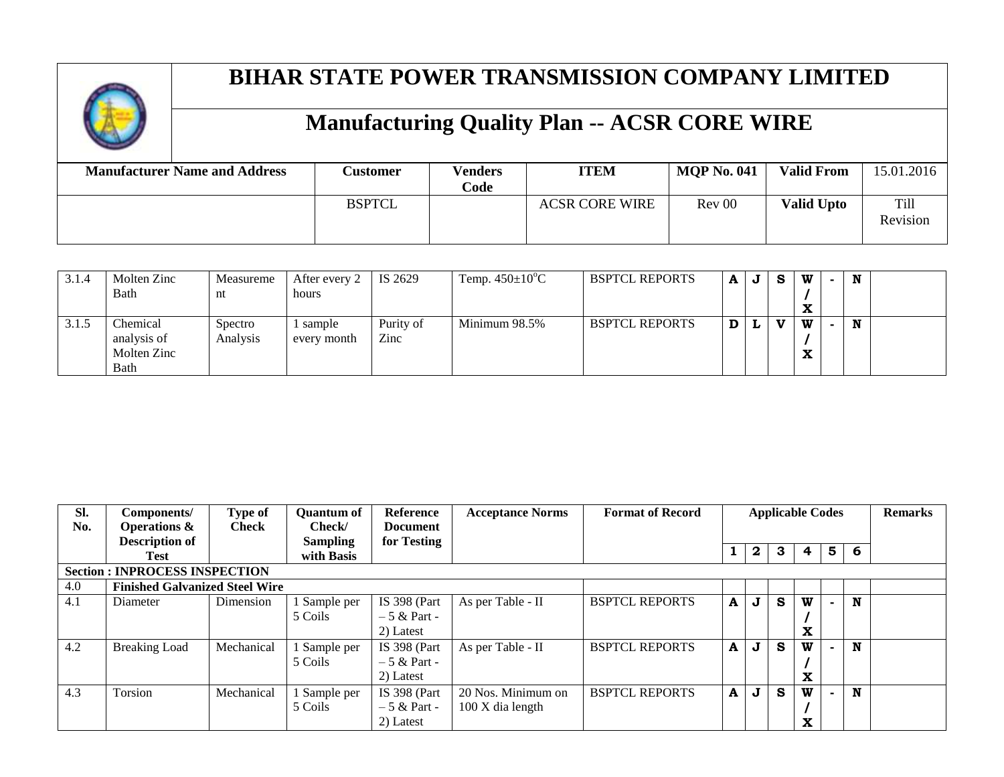

| <b>Manufacturer Name and Address</b> | <b>Customer</b> | <b>Venders</b><br>Code | <b>ITEM</b>           | <b>MOP No. 041</b> | <b>Valid From</b> | 15.01.2016              |
|--------------------------------------|-----------------|------------------------|-----------------------|--------------------|-------------------|-------------------------|
|                                      | <b>BSPTCL</b>   |                        | <b>ACSR CORE WIRE</b> | Rev 00             | <b>Valid Upto</b> | <b>Till</b><br>Revision |

| 3.1.4 | Molten Zinc<br>Bath                            | Measureme<br>nt     | After every 2<br>hours | IS 2629           | Temp. $450\pm10^{\circ}$ C | <b>BSPTCL REPORTS</b> | A | J | -S           | w<br>л. | N |  |
|-------|------------------------------------------------|---------------------|------------------------|-------------------|----------------------------|-----------------------|---|---|--------------|---------|---|--|
| 3.1.5 | Chemical<br>analysis of<br>Molten Zinc<br>Bath | Spectro<br>Analysis | sample<br>every month  | Purity of<br>Zinc | Minimum 98.5%              | <b>BSPTCL REPORTS</b> | D |   | $\mathbf{v}$ | w<br>́́ | N |  |

| SI.<br>No. | Components/<br><b>Operations &amp;</b> | Type of<br><b>Check</b> | <b>Ouantum of</b><br>Check/   | <b>Reference</b><br><b>Document</b> | <b>Acceptance Norms</b> | <b>Format of Record</b> |   |              |   | <b>Applicable Codes</b> |   |   | <b>Remarks</b> |
|------------|----------------------------------------|-------------------------|-------------------------------|-------------------------------------|-------------------------|-------------------------|---|--------------|---|-------------------------|---|---|----------------|
|            | <b>Description of</b><br>Test          |                         | <b>Sampling</b><br>with Basis | for Testing                         |                         |                         |   | $\mathbf{2}$ | 3 | 4                       | 5 | 6 |                |
|            | <b>Section: INPROCESS INSPECTION</b>   |                         |                               |                                     |                         |                         |   |              |   |                         |   |   |                |
| 4.0        | <b>Finished Galvanized Steel Wire</b>  |                         |                               |                                     |                         |                         |   |              |   |                         |   |   |                |
| 4.1        | Diameter                               | Dimension               | l Sample per                  | <b>IS 398 (Part</b>                 | As per Table - II       | <b>BSPTCL REPORTS</b>   | A | J            | S | W                       |   | N |                |
|            |                                        |                         | 5 Coils                       | $-5 &$ Part -                       |                         |                         |   |              |   |                         |   |   |                |
|            |                                        |                         |                               | 2) Latest                           |                         |                         |   |              |   | X                       |   |   |                |
| 4.2        | <b>Breaking Load</b>                   | Mechanical              | l Sample per                  | <b>IS 398 (Part</b>                 | As per Table - II       | <b>BSPTCL REPORTS</b>   | A | J            | S | W                       |   | N |                |
|            |                                        |                         | 5 Coils                       | $-5 &$ Part -                       |                         |                         |   |              |   |                         |   |   |                |
|            |                                        |                         |                               | 2) Latest                           |                         |                         |   |              |   | x                       |   |   |                |
| 4.3        | Torsion                                | Mechanical              | 1 Sample per                  | IS 398 (Part                        | 20 Nos. Minimum on      | <b>BSPTCL REPORTS</b>   | A | J            | S | W                       |   | N |                |
|            |                                        |                         | 5 Coils                       | $-5 &$ Part -                       | 100 X dia length        |                         |   |              |   |                         |   |   |                |
|            |                                        |                         |                               | 2) Latest                           |                         |                         |   |              |   | x                       |   |   |                |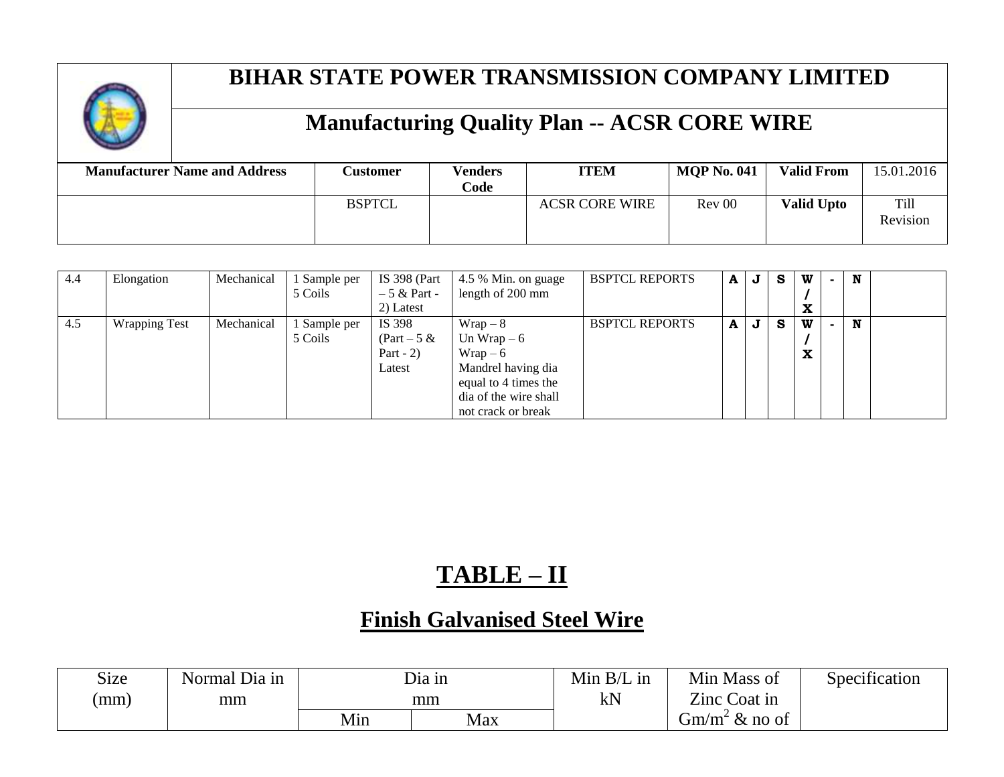

# **Manufacturing Quality Plan -- ACSR CORE WIRE**

| <b>Manufacturer Name and Address</b> | <b>Customer</b> | <b>Venders</b><br>Code | <b>ITEM</b>           | <b>MOP No. 041</b> | <b>Valid From</b> | 15.01.2016       |
|--------------------------------------|-----------------|------------------------|-----------------------|--------------------|-------------------|------------------|
|                                      | <b>BSPTCL</b>   |                        | <b>ACSR CORE WIRE</b> | Rev 00             | <b>Valid Upto</b> | Till<br>Revision |

| 4.4 | Elongation           | Mechanical | 1 Sample per<br>5 Coils | <b>IS 398 (Part</b><br>$-5 &$ Part -<br>2) Latest | 4.5 % Min. on guage<br>length of 200 mm                                                                                             | <b>BSPTCL REPORTS</b> | A | J       | -S | W<br>$\mathbf{A}$ | N |  |
|-----|----------------------|------------|-------------------------|---------------------------------------------------|-------------------------------------------------------------------------------------------------------------------------------------|-----------------------|---|---------|----|-------------------|---|--|
| 4.5 | <b>Wrapping Test</b> | Mechanical | Sample per<br>5 Coils   | IS 398<br>$(Part - 5 \&$<br>Part $-2$ )<br>Latest | $Wrap - 8$<br>Un Wrap $-6$<br>$Wrap-6$<br>Mandrel having dia<br>equal to 4 times the<br>dia of the wire shall<br>not crack or break | <b>BSPTCL REPORTS</b> | A | $\bf J$ | -S | W<br>w            | N |  |

# **TABLE – II**

#### **Finish Galvanised Steel Wire**

| Size | Normal Dia in |     | Dia in | Min $B/L$<br>, 1N | Min<br>Mass of           | Specification |
|------|---------------|-----|--------|-------------------|--------------------------|---------------|
| (mm) | mm            |     | mm     | kN                | Zinc Coat in             |               |
|      |               | Min | Max    |                   | $\&$ no of<br>$\dim/m^2$ |               |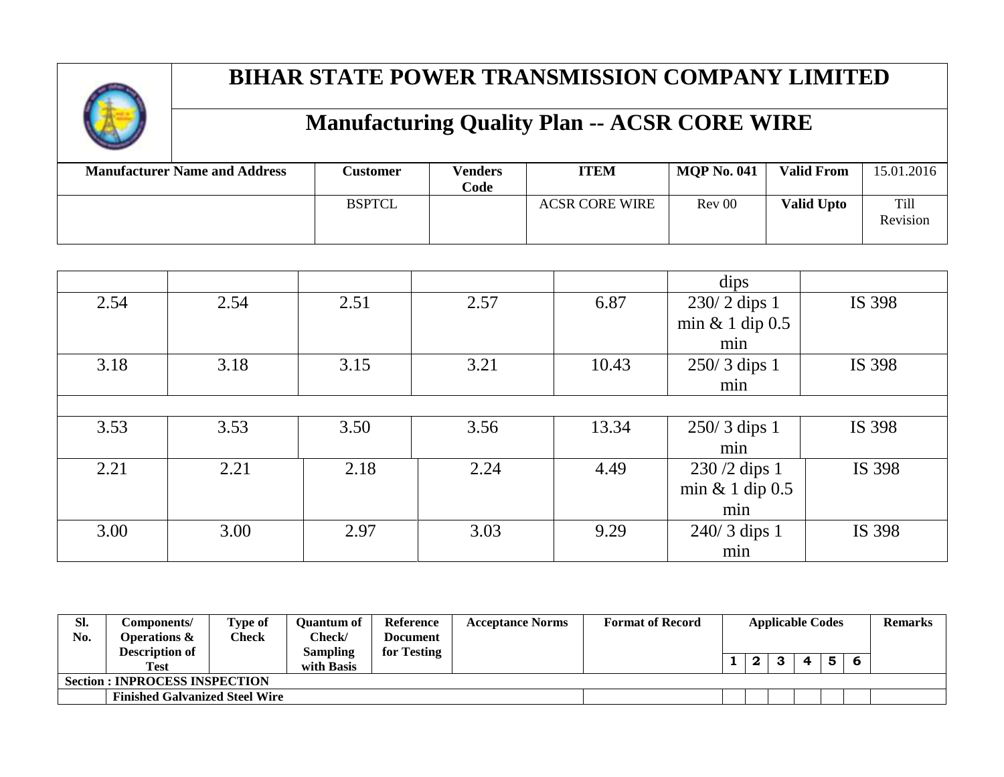

| <b>Manufacturer Name and Address</b> | <b>Customer</b> | <b>Venders</b><br>Code | <b>ITEM</b>           | <b>MOP No. 041</b> | <b>Valid From</b> | 15.01.2016       |
|--------------------------------------|-----------------|------------------------|-----------------------|--------------------|-------------------|------------------|
|                                      | <b>BSPTCL</b>   |                        | <b>ACSR CORE WIRE</b> | Rev 00             | <b>Valid Upto</b> | Till<br>Revision |

|      |      |      |      |       | dips            |        |
|------|------|------|------|-------|-----------------|--------|
| 2.54 | 2.54 | 2.51 | 2.57 | 6.87  | 230/2 dips 1    | IS 398 |
|      |      |      |      |       | min & 1 dip 0.5 |        |
|      |      |      |      |       | min             |        |
| 3.18 | 3.18 | 3.15 | 3.21 | 10.43 | 250/3 dips 1    | IS 398 |
|      |      |      |      |       | min             |        |
|      |      |      |      |       |                 |        |
| 3.53 | 3.53 | 3.50 | 3.56 | 13.34 | 250/3 dips 1    | IS 398 |
|      |      |      |      |       | min             |        |
| 2.21 | 2.21 | 2.18 | 2.24 | 4.49  | $230/2$ dips 1  | IS 398 |
|      |      |      |      |       | min & 1 dip 0.5 |        |
|      |      |      |      |       | min             |        |
| 3.00 | 3.00 | 2.97 | 3.03 | 9.29  | $240/3$ dips 1  | IS 398 |
|      |      |      |      |       | min             |        |

| SI. | C <b>omponents/</b>                   | <b>Type of</b> | Ouantum of | <b>Reference</b> | <b>Acceptance Norms</b> | <b>Format of Record</b> |  | <b>Applicable Codes</b> |  | Remarks |
|-----|---------------------------------------|----------------|------------|------------------|-------------------------|-------------------------|--|-------------------------|--|---------|
| No. | Operations &                          | $\rm{Check}$   | Check/     | Document         |                         |                         |  |                         |  |         |
|     | <b>Description of</b>                 |                | Sampling   | for Testing      |                         |                         |  |                         |  |         |
|     |                                       |                |            |                  |                         |                         |  | 4                       |  |         |
|     | <b>Test</b>                           |                | with Basis |                  |                         |                         |  |                         |  |         |
|     | <b>Section : INPROCESS INSPECTION</b> |                |            |                  |                         |                         |  |                         |  |         |
|     | <b>Finished Galvanized Steel Wire</b> |                |            |                  |                         |                         |  |                         |  |         |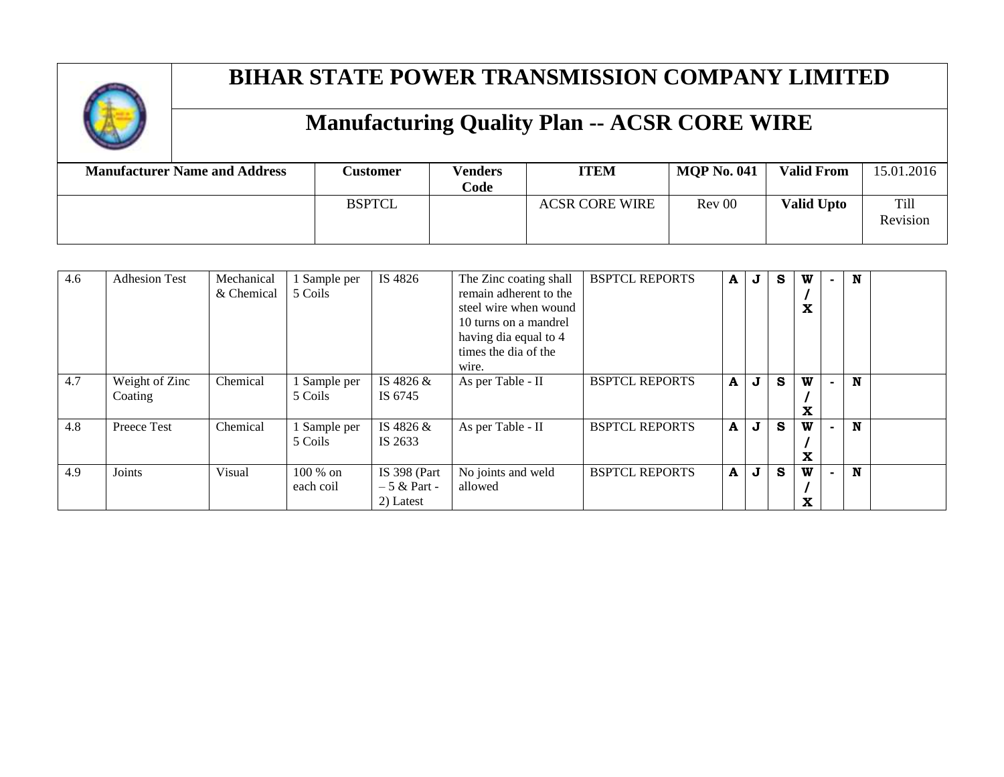

| <b>Manufacturer Name and Address</b> | <b>Customer</b> | <b>Venders</b><br>Code | <b>ITEM</b>           | <b>MOP No. 041</b> | <b>Valid From</b> | 15.01.2016       |
|--------------------------------------|-----------------|------------------------|-----------------------|--------------------|-------------------|------------------|
|                                      | <b>BSPTCL</b>   |                        | <b>ACSR CORE WIRE</b> | Rev 00             | <b>Valid Upto</b> | Till<br>Revision |

| 4.6 | <b>Adhesion Test</b>      | Mechanical<br>& Chemical | Sample per<br>5 Coils   | IS 4826                                    | The Zinc coating shall<br>remain adherent to the<br>steel wire when wound<br>10 turns on a mandrel | <b>BSPTCL REPORTS</b> | A | $\bf J$     | S | W<br>x |                | N |  |
|-----|---------------------------|--------------------------|-------------------------|--------------------------------------------|----------------------------------------------------------------------------------------------------|-----------------------|---|-------------|---|--------|----------------|---|--|
|     |                           |                          |                         |                                            | having dia equal to 4<br>times the dia of the<br>wire.                                             |                       |   |             |   |        |                |   |  |
| 4.7 | Weight of Zinc<br>Coating | Chemical                 | Sample per<br>5 Coils   | IS 4826 &<br>IS 6745                       | As per Table - II                                                                                  | <b>BSPTCL REPORTS</b> | A | J           | S | W<br>X | $\blacksquare$ | N |  |
| 4.8 | Preece Test               | Chemical                 | 1 Sample per<br>5 Coils | IS 4826 &<br>IS 2633                       | As per Table - II                                                                                  | <b>BSPTCL REPORTS</b> | A | $\mathbf J$ | S | W<br>X |                | N |  |
| 4.9 | Joints                    | Visual                   | 100 % on<br>each coil   | IS 398 (Part<br>$-5 &$ Part -<br>2) Latest | No joints and weld<br>allowed                                                                      | <b>BSPTCL REPORTS</b> | A | J           | S | W<br>x |                | N |  |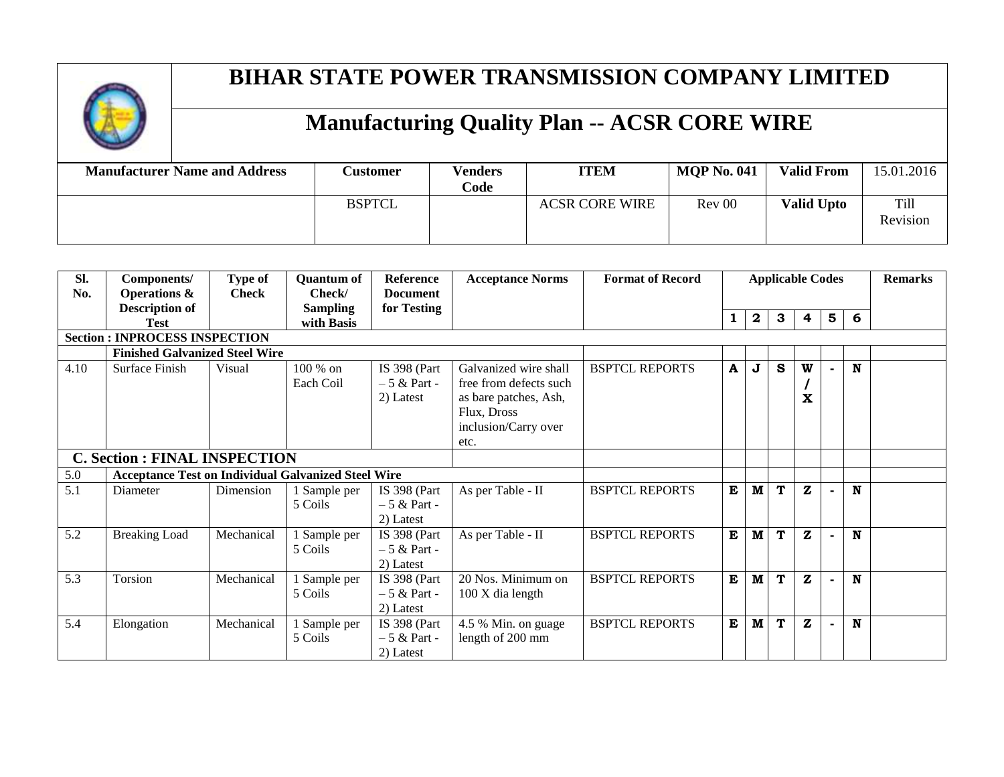

| <b>Manufacturer Name and Address</b> | <b>Customer</b> | <b>Venders</b><br>Code | <b>ITEM</b>           | <b>MQP No. 041</b> | <b>Valid From</b> | 15.01.2016       |
|--------------------------------------|-----------------|------------------------|-----------------------|--------------------|-------------------|------------------|
|                                      | <b>BSPTCL</b>   |                        | <b>ACSR CORE WIRE</b> | Rev 00             | <b>Valid Upto</b> | Till<br>Revision |

| SI.  | Components/                                                | Type of      | <b>Quantum of</b> | <b>Reference</b> | <b>Acceptance Norms</b> | <b>Format of Record</b> | <b>Applicable Codes</b> |                  |   |              |                | <b>Remarks</b> |  |
|------|------------------------------------------------------------|--------------|-------------------|------------------|-------------------------|-------------------------|-------------------------|------------------|---|--------------|----------------|----------------|--|
| No.  | <b>Operations &amp;</b>                                    | <b>Check</b> | Check/            | <b>Document</b>  |                         |                         |                         |                  |   |              |                |                |  |
|      | <b>Description of</b>                                      |              | <b>Sampling</b>   | for Testing      |                         |                         | 1                       | $\boldsymbol{2}$ | 3 | 4            | $5\phantom{1}$ | 6              |  |
|      | <b>Test</b>                                                |              | with Basis        |                  |                         |                         |                         |                  |   |              |                |                |  |
|      | <b>Section: INPROCESS INSPECTION</b>                       |              |                   |                  |                         |                         |                         |                  |   |              |                |                |  |
|      | <b>Finished Galvanized Steel Wire</b>                      |              |                   |                  |                         |                         |                         |                  |   |              |                |                |  |
| 4.10 | Surface Finish                                             | Visual       | $100\%$ on        | IS 398 (Part     | Galvanized wire shall   | <b>BSPTCL REPORTS</b>   | A                       | J                | S | W            |                | N              |  |
|      |                                                            |              | Each Coil         | $-5 &$ Part -    | free from defects such  |                         |                         |                  |   |              |                |                |  |
|      |                                                            |              |                   | 2) Latest        | as bare patches, Ash,   |                         |                         |                  |   | X            |                |                |  |
|      |                                                            |              |                   |                  | Flux, Dross             |                         |                         |                  |   |              |                |                |  |
|      |                                                            |              |                   |                  | inclusion/Carry over    |                         |                         |                  |   |              |                |                |  |
|      |                                                            |              |                   |                  | etc.                    |                         |                         |                  |   |              |                |                |  |
|      | <b>C. Section : FINAL INSPECTION</b>                       |              |                   |                  |                         |                         |                         |                  |   |              |                |                |  |
| 5.0  | <b>Acceptance Test on Individual Galvanized Steel Wire</b> |              |                   |                  |                         |                         |                         |                  |   |              |                |                |  |
| 5.1  | Diameter                                                   | Dimension    | Sample per        | IS $398$ (Part   | As per Table - II       | <b>BSPTCL REPORTS</b>   | E                       | $\mathbf M$      | T | $\mathbf{z}$ |                | N              |  |
|      |                                                            |              | 5 Coils           | $-5 &$ Part -    |                         |                         |                         |                  |   |              |                |                |  |
|      |                                                            |              |                   | 2) Latest        |                         |                         |                         |                  |   |              |                |                |  |
| 5.2  | <b>Breaking Load</b>                                       | Mechanical   | Sample per        | IS 398 (Part     | As per Table - II       | <b>BSPTCL REPORTS</b>   | E                       | M                | T | $\mathbf{z}$ |                | N              |  |
|      |                                                            |              | 5 Coils           | $-5 &$ Rart -    |                         |                         |                         |                  |   |              |                |                |  |
|      |                                                            |              |                   | 2) Latest        |                         |                         |                         |                  |   |              |                |                |  |
| 5.3  | Torsion                                                    | Mechanical   | Sample per        | IS 398 (Part     | 20 Nos. Minimum on      | <b>BSPTCL REPORTS</b>   | E                       | $\mathbf{M}$     | T | $\mathbf{z}$ |                | N              |  |
|      |                                                            |              | 5 Coils           | $-5 &$ Part -    | 100 X dia length        |                         |                         |                  |   |              |                |                |  |
|      |                                                            |              |                   | 2) Latest        |                         |                         |                         |                  |   |              |                |                |  |
| 5.4  | Elongation                                                 | Mechanical   | Sample per        | IS 398 (Part     | 4.5 % Min. on guage     | <b>BSPTCL REPORTS</b>   | E                       | $\mathbf M$      | T | $\mathbf{z}$ |                | $\mathbf N$    |  |
|      |                                                            |              | 5 Coils           | $-5 &$ Part -    | length of 200 mm        |                         |                         |                  |   |              |                |                |  |
|      |                                                            |              |                   | 2) Latest        |                         |                         |                         |                  |   |              |                |                |  |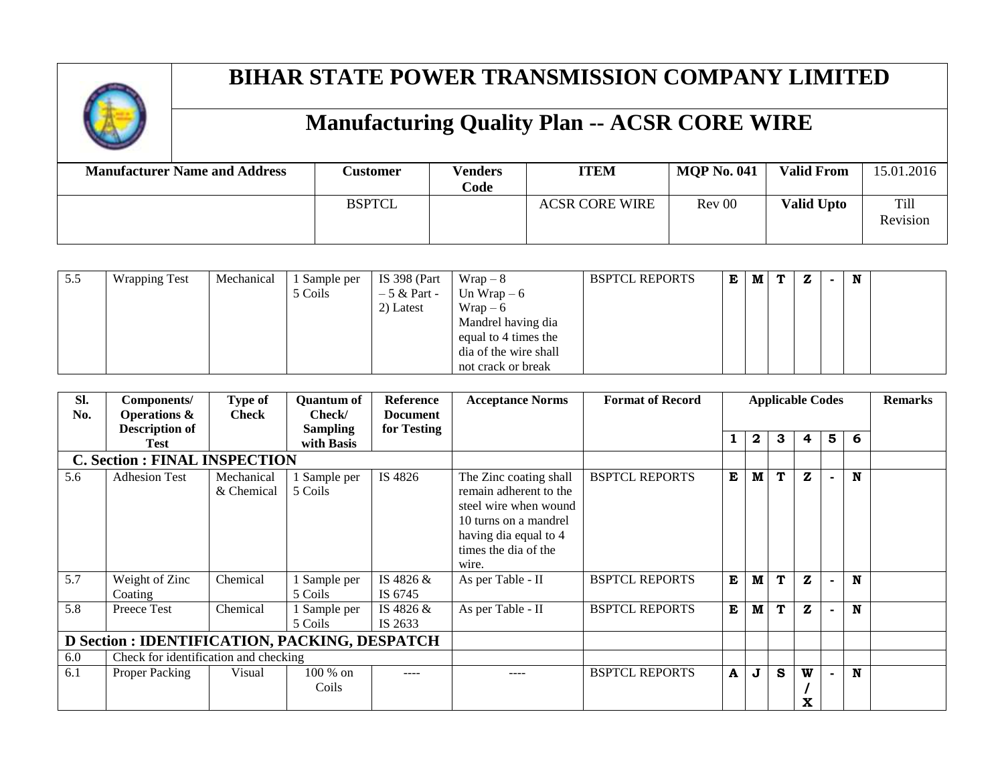

| <b>Manufacturer Name and Address</b> | <b>Lustomer</b> | Venders<br>Code | <b>ITEM</b>           | <b>MOP No. 041</b> | <b>Valid From</b> | 15.01.2016              |
|--------------------------------------|-----------------|-----------------|-----------------------|--------------------|-------------------|-------------------------|
|                                      | <b>BSPTCL</b>   |                 | <b>ACSR CORE WIRE</b> | Rev 00             | <b>Valid Upto</b> | <b>Till</b><br>Revision |

| 5.5 | <b>Wrapping Test</b> | Mechanical | . Sample per | IS 398 (Part  | $Wrap-8$              | <b>BSPTCL REPORTS</b> | Е | M | T. | z | N |  |
|-----|----------------------|------------|--------------|---------------|-----------------------|-----------------------|---|---|----|---|---|--|
|     |                      |            | 5 Coils      | $-5 &$ Part - | Un Wrap $-6$          |                       |   |   |    |   |   |  |
|     |                      |            |              | 2) Latest     | $Wrap-6$              |                       |   |   |    |   |   |  |
|     |                      |            |              |               | Mandrel having dia    |                       |   |   |    |   |   |  |
|     |                      |            |              |               | equal to 4 times the  |                       |   |   |    |   |   |  |
|     |                      |            |              |               | dia of the wire shall |                       |   |   |    |   |   |  |
|     |                      |            |              |               | not crack or break    |                       |   |   |    |   |   |  |

| Sl.<br>No. | Components/<br><b>Operations &amp;</b>        | <b>Type of</b><br><b>Check</b> | <b>Quantum of</b><br>Check/   | <b>Reference</b><br><b>Document</b> | <b>Acceptance Norms</b>                                                                                                                                      | <b>Format of Record</b> | <b>Applicable Codes</b> |   |   |              | <b>Remarks</b> |   |  |
|------------|-----------------------------------------------|--------------------------------|-------------------------------|-------------------------------------|--------------------------------------------------------------------------------------------------------------------------------------------------------------|-------------------------|-------------------------|---|---|--------------|----------------|---|--|
|            | <b>Description of</b><br><b>Test</b>          |                                | <b>Sampling</b><br>with Basis | for Testing                         |                                                                                                                                                              |                         |                         | 2 | 3 | 4            | 5              | 6 |  |
|            | <b>C. Section : FINAL INSPECTION</b>          |                                |                               |                                     |                                                                                                                                                              |                         |                         |   |   |              |                |   |  |
| 5.6        | <b>Adhesion Test</b>                          | Mechanical<br>& Chemical       | Sample per<br>5 Coils         | IS 4826                             | The Zinc coating shall<br>remain adherent to the<br>steel wire when wound<br>10 turns on a mandrel<br>having dia equal to 4<br>times the dia of the<br>wire. | <b>BSPTCL REPORTS</b>   | E                       | M | T | $\mathbf{z}$ | $\blacksquare$ | N |  |
| 5.7        | Weight of Zinc<br>Coating                     | Chemical                       | Sample per<br>5 Coils         | IS 4826 &<br>IS 6745                | As per Table - II                                                                                                                                            | <b>BSPTCL REPORTS</b>   | E                       | M | T | $\mathbf{z}$ |                | N |  |
| 5.8        | Preece Test                                   | Chemical                       | Sample per<br>5 Coils         | IS 4826 &<br>IS 2633                | As per Table - II                                                                                                                                            | <b>BSPTCL REPORTS</b>   | E                       | M | T | $\mathbf{z}$ |                | N |  |
|            | D Section : IDENTIFICATION, PACKING, DESPATCH |                                |                               |                                     |                                                                                                                                                              |                         |                         |   |   |              |                |   |  |
| 6.0        | Check for identification and checking         |                                |                               |                                     |                                                                                                                                                              |                         |                         |   |   |              |                |   |  |
| 6.1        | Proper Packing                                | Visual                         | 100 % on<br>Coils             | ----                                |                                                                                                                                                              | <b>BSPTCL REPORTS</b>   | $\mathbf{A}$            | J | S | W<br>X       |                | N |  |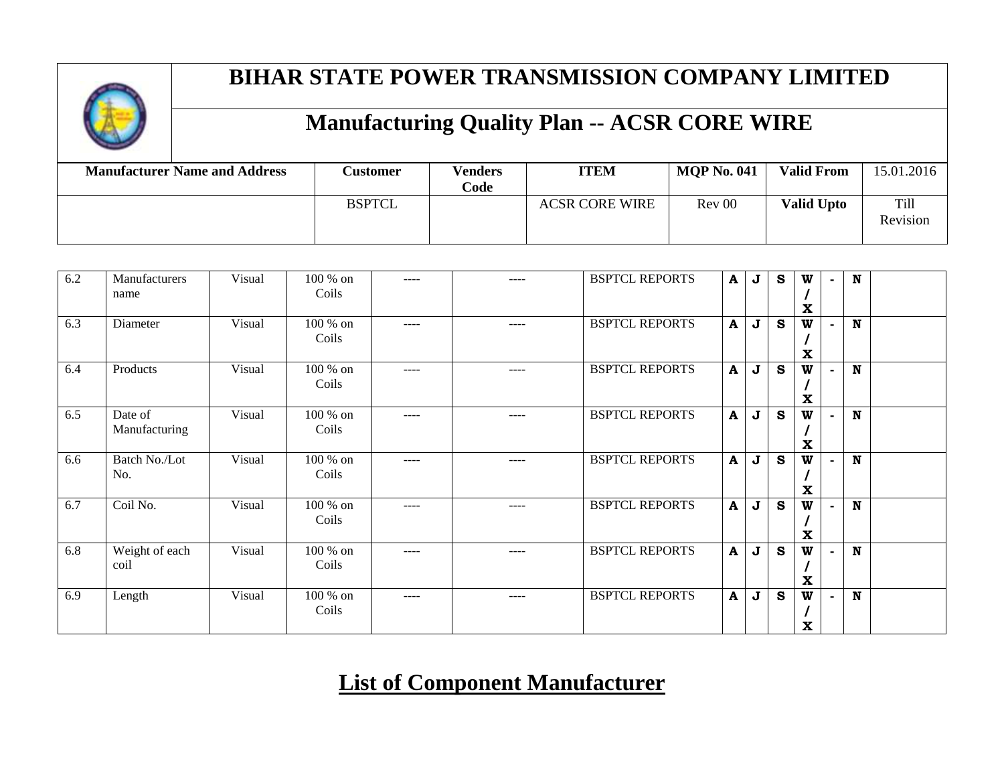

# **Manufacturing Quality Plan -- ACSR CORE WIRE**

| <b>Manufacturer Name and Address</b> | <b>Customer</b> | <b>Venders</b><br>Code | <b>ITEM</b>           | <b>MOP No. 041</b> | <b>Valid From</b> | 15.01.2016              |
|--------------------------------------|-----------------|------------------------|-----------------------|--------------------|-------------------|-------------------------|
|                                      | <b>BSPTCL</b>   |                        | <b>ACSR CORE WIRE</b> | Rev 00             | <b>Valid Upto</b> | <b>Till</b><br>Revision |

| 6.2 | Manufacturers<br>name    | Visual | 100 % on<br>Coils   | ----      |           | <b>BSPTCL REPORTS</b> | $\mathbf{A}$ | J | S            | W<br>$\mathbf x$  | $\blacksquare$ | $\mathbf N$ |  |
|-----|--------------------------|--------|---------------------|-----------|-----------|-----------------------|--------------|---|--------------|-------------------|----------------|-------------|--|
| 6.3 | Diameter                 | Visual | 100 % on<br>Coils   | $- - - -$ | $---$     | <b>BSPTCL REPORTS</b> | A            | J | $\mathbf{s}$ | W<br>$\mathbf x$  |                | $\mathbf N$ |  |
| 6.4 | Products                 | Visual | 100 % on<br>Coils   | $---$     | $- - - -$ | <b>BSPTCL REPORTS</b> | $\mathbf{A}$ | J | S            | W<br>$\mathbf{x}$ |                | $\mathbf N$ |  |
| 6.5 | Date of<br>Manufacturing | Visual | $100\%$ on<br>Coils | ----      | $---$     | <b>BSPTCL REPORTS</b> | $\mathbf{A}$ | J | S            | W<br>$\mathbf x$  |                | $\mathbf N$ |  |
| 6.6 | Batch No./Lot<br>No.     | Visual | 100 % on<br>Coils   | $- - - -$ | $- - - -$ | <b>BSPTCL REPORTS</b> | A            | J | S            | W<br>X            |                | $\mathbf N$ |  |
| 6.7 | Coil No.                 | Visual | 100 % on<br>Coils   | $- - - -$ | $---$     | <b>BSPTCL REPORTS</b> | $\mathbf{A}$ | J | S            | W<br>$\mathbf{x}$ |                | $\mathbf N$ |  |
| 6.8 | Weight of each<br>coil   | Visual | 100 % on<br>Coils   | ----      | $- - - -$ | <b>BSPTCL REPORTS</b> | A            | J | S            | W<br>$\mathbf x$  |                | $\mathbf N$ |  |
| 6.9 | Length                   | Visual | 100 % on<br>Coils   | $---$     | $- - - -$ | <b>BSPTCL REPORTS</b> | $\mathbf A$  | J | S            | W<br>$\mathbf x$  |                | $\mathbf N$ |  |

#### **List of Component Manufacturer**